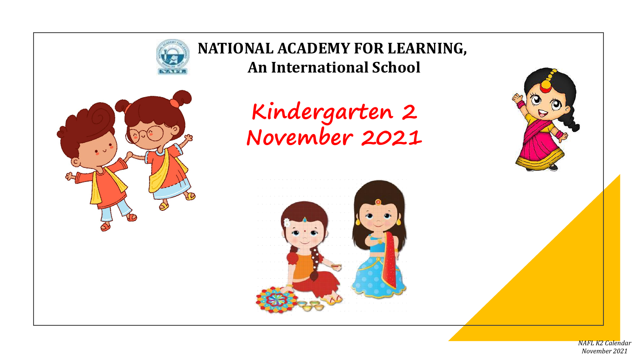

*NAFL K2 Calendar November 2021*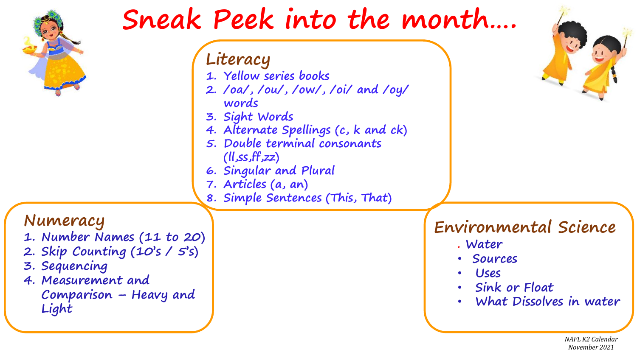|                                                                                                                                                   | Literacy<br>1. Yellow series books<br>2. /oa/, /ou/, /ow/, /oi/ and /oy/<br>words<br>3. Sight Words<br>4. Alternate Spellings (c, k and ck)<br>5. Double terminal consonants<br>(II,ss,ff,zz)<br>6. Singular and Plural<br>7. Articles (a, an)<br>8. Simple Sentences (This, That) |                                                                                                       |
|---------------------------------------------------------------------------------------------------------------------------------------------------|------------------------------------------------------------------------------------------------------------------------------------------------------------------------------------------------------------------------------------------------------------------------------------|-------------------------------------------------------------------------------------------------------|
| Numeracy<br>1. Number Names (11 to 20)<br>2. Skip Counting (10's / 5's)<br>3. Sequencing<br>4. Measurement and<br>Comparison – Heavy and<br>Light |                                                                                                                                                                                                                                                                                    | Environmental Science<br>. Water<br>Sources<br>· Uses<br>· Sink or Float<br>• What Dissolves in water |

*November 2021*

Ħ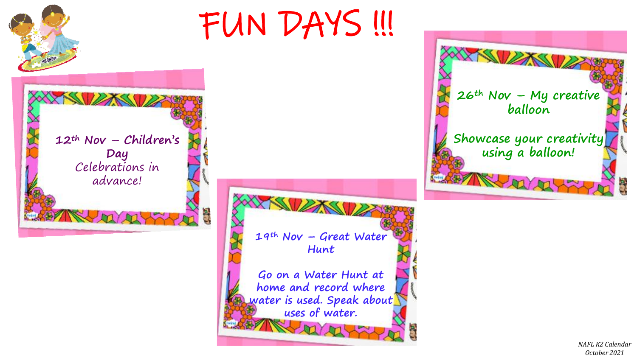

*NAFL K2 Calendar October 2021*